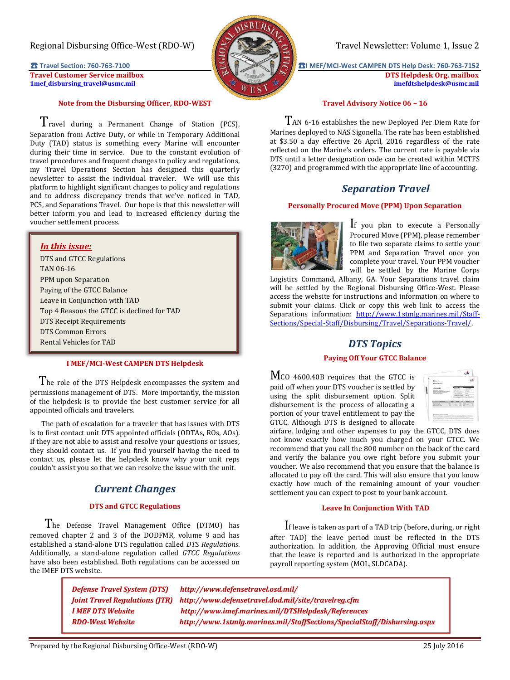# Regional Disbursing Office-West (RDO-W) Travel Newsletter: Volume 1, Issue 2

**[1mef\\_disbursing\\_travel@usmc.mil](mailto:1mef_disbursing_travel@usmc.mil) [imefdtshelpdesk@usmc.mil](mailto:imefdtshelpdesk@usmc.mil)**



### **Note from the Disbursing Officer, RDO-WEST**

 $T$ ravel during a Permanent Change of Station (PCS), Separation from Active Duty, or while in Temporary Additional Duty (TAD) status is something every Marine will encounter during their time in service. Due to the constant evolution of travel procedures and frequent changes to policy and regulations, my Travel Operations Section has designed this quarterly newsletter to assist the individual traveler. We will use this platform to highlight significant changes to policy and regulations and to address discrepancy trends that we've noticed in TAD, PCS, and Separations Travel. Our hope is that this newsletter will better inform you and lead to increased efficiency during the voucher settlement process.

## *In this issue:*

DTS and GTCC Regulations TAN 06-16 PPM upon Separation Paying of the GTCC Balance Leave in Conjunction with TAD Top 4 Reasons the GTCC is declined for TAD DTS Receipt Requirements DTS Common Errors Rental Vehicles for TAD

### **I MEF/MCI-West CAMPEN DTS Helpdesk**

The role of the DTS Helpdesk encompasses the system and permissions management of DTS. More importantly, the mission of the helpdesk is to provide the best customer service for all appointed officials and travelers.

 The path of escalation for a traveler that has issues with DTS is to first contact unit DTS appointed officials (ODTAs, ROs, AOs). If they are not able to assist and resolve your questions or issues, they should contact us. If you find yourself having the need to contact us, please let the helpdesk know why your unit reps couldn't assist you so that we can resolve the issue with the unit.

# *Current Changes*

## **DTS and GTCC Regulations**

 The Defense Travel Management Office (DTMO) has removed chapter 2 and 3 of the DODFMR, volume 9 and has established a stand-alone DTS regulation called *DTS Regulations*. Additionally, a stand-alone regulation called *GTCC Regulations*  have also been established. Both regulations can be accessed on the IMEF DTS website.

**₹1** Travel Section: 760-763-7100 **b intervention of the state of the state of the state of the state of the state of the state of the state of the state of the state of the state of the state of the state of the state Travel Customer Service mailbox DTS Helpdesk Org. mailbox DTS Helpdesk Org. mailbox** DTS Helpdesk Org. mailbox inef disbursing travel@usmc.mil

#### **Travel Advisory Notice 06 – 16**

 $T$ AN 6-16 establishes the new Deployed Per Diem Rate for Marines deployed to NAS Sigonella. The rate has been established at \$3.50 a day effective 26 April, 2016 regardless of the rate reflected on the Marine's orders. The current rate is payable via DTS until a letter designation code can be created within MCTFS (3270) and programmed with the appropriate line of accounting.

# *Separation Travel*

#### **Personally Procured Move (PPM) Upon Separation**



If you plan to execute a Personally Procured Move (PPM), please remember to file two separate claims to settle your PPM and Separation Travel once you complete your travel. Your PPM voucher will be settled by the Marine Corps

Logistics Command, Albany, GA. Your Separations travel claim will be settled by the Regional Disbursing Office-West. Please access the website for instructions and information on where to submit your claims. Click or copy this web link to access the Separations information: [http://www.1stmlg.marines.mil/Staff-](http://www.1stmlg.marines.mil/Staff-Sections/Special-Staff/Disbursing/Travel/Separations-Travel/)[Sections/Special-Staff/Disbursing/Travel/Separations-Travel/.](http://www.1stmlg.marines.mil/Staff-Sections/Special-Staff/Disbursing/Travel/Separations-Travel/)

# *DTS Topics*

#### **Paying Off Your GTCC Balance**

MCO 4600.40B requires that the GTCC is paid off when your DTS voucher is settled by using the split disbursement option. Split disbursement is the process of allocating a portion of your travel entitlement to pay the GTCC. Although DTS is designed to allocate



airfare, lodging and other expenses to pay the GTCC, DTS does not know exactly how much you charged on your GTCC. We recommend that you call the 800 number on the back of the card and verify the balance you owe right before you submit your voucher. We also recommend that you ensure that the balance is allocated to pay off the card. This will also ensure that you know exactly how much of the remaining amount of your voucher settlement you can expect to post to your bank account.

#### **Leave In Conjunction With TAD**

 If leave is taken as part of a TAD trip (before, during, or right after TAD) the leave period must be reflected in the DTS authorization. In addition, the Approving Official must ensure that the leave is reported and is authorized in the appropriate payroll reporting system (MOL, SLDCADA).

*[Defense Travel System](http://www.defensetravel.osd.mil/) (DTS) http://www.defensetravel.osd.mil/ [Joint Travel Regulations \(](http://www.defensetravel.dod.mil/site/travelreg.cfm)JTR) http://www.defensetravel.dod.mil/site/travelreg.cfm [I MEF DTS](http://www.imef.marines.mil/DTSHelpdesk/References) Website http://www.imef.marines.mil/DTSHelpdesk/References [RDO-West Website](http://www.1stmlg.marines.mil/StaffSections/SpecialStaff/Disbursing.aspx) http://www.1stmlg.marines.mil/StaffSections/SpecialStaff/Disbursing.aspx*